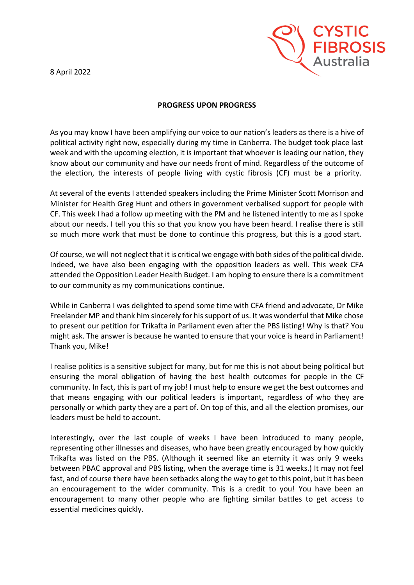8 April 2022



## **PROGRESS UPON PROGRESS**

As you may know I have been amplifying our voice to our nation's leaders as there is a hive of political activity right now, especially during my time in Canberra. The budget took place last week and with the upcoming election, it is important that whoever is leading our nation, they know about our community and have our needs front of mind. Regardless of the outcome of the election, the interests of people living with cystic fibrosis (CF) must be a priority.

At several of the events I attended speakers including the Prime Minister Scott Morrison and Minister for Health Greg Hunt and others in government verbalised support for people with CF. This week I had a follow up meeting with the PM and he listened intently to me as I spoke about our needs. I tell you this so that you know you have been heard. I realise there is still so much more work that must be done to continue this progress, but this is a good start.

Of course, we will not neglect that it is critical we engage with both sides of the political divide. Indeed, we have also been engaging with the opposition leaders as well. This week CFA attended the Opposition Leader Health Budget. I am hoping to ensure there is a commitment to our community as my communications continue.

While in Canberra I was delighted to spend some time with CFA friend and advocate, Dr Mike Freelander MP and thank him sincerely for his support of us. It was wonderful that Mike chose to present our petition for Trikafta in Parliament even after the PBS listing! Why is that? You might ask. The answer is because he wanted to ensure that your voice is heard in Parliament! Thank you, Mike!

I realise politics is a sensitive subject for many, but for me this is not about being political but ensuring the moral obligation of having the best health outcomes for people in the CF community. In fact, this is part of my job! I must help to ensure we get the best outcomes and that means engaging with our political leaders is important, regardless of who they are personally or which party they are a part of. On top of this, and all the election promises, our leaders must be held to account.

Interestingly, over the last couple of weeks I have been introduced to many people, representing other illnesses and diseases, who have been greatly encouraged by how quickly Trikafta was listed on the PBS. (Although it seemed like an eternity it was only 9 weeks between PBAC approval and PBS listing, when the average time is 31 weeks.) It may not feel fast, and of course there have been setbacks along the way to get to this point, but it has been an encouragement to the wider community. This is a credit to you! You have been an encouragement to many other people who are fighting similar battles to get access to essential medicines quickly.